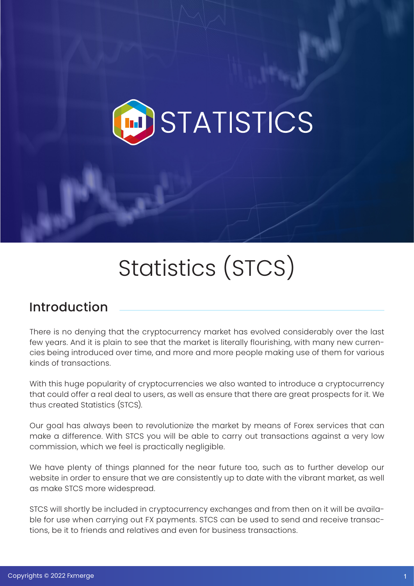

# Statistics (STCS)

### Introduction

There is no denying that the cryptocurrency market has evolved considerably over the last few years. And it is plain to see that the market is literally flourishing, with many new currencies being introduced over time, and more and more people making use of them for various kinds of transactions.

With this huge popularity of cryptocurrencies we also wanted to introduce a cryptocurrency that could offer a real deal to users, as well as ensure that there are great prospects for it. We thus created Statistics (STCS).

Our goal has always been to revolutionize the market by means of Forex services that can make a difference. With STCS you will be able to carry out transactions against a very low commission, which we feel is practically negligible.

We have plenty of things planned for the near future too, such as to further develop our website in order to ensure that we are consistently up to date with the vibrant market, as well as make STCS more widespread.

STCS will shortly be included in cryptocurrency exchanges and from then on it will be available for use when carrying out FX payments. STCS can be used to send and receive transactions, be it to friends and relatives and even for business transactions.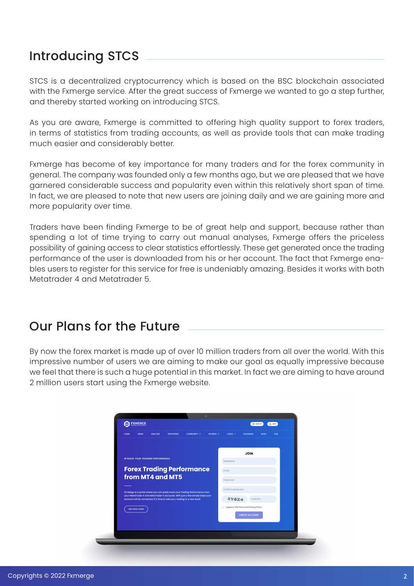# Introducing STCS

STCS is a decentralized cryptocurrency which is based on the BSC blockchain associated with the Fxmerge service. After the great success of Fxmerge we wanted to go a step further, and thereby started working on introducing STCS.

As you are aware, Fxmerge is committed to offering high quality support to forex traders, in terms of statistics from trading accounts, as well as provide tools that can make trading much easier and considerably better.

Fxmerge has become of key importance for many traders and for the forex community in general. The company was founded only a few months ago, but we are pleased that we have garnered considerable success and popularity even within this relatively short span of time. In fact, we are pleased to note that new users are joining daily and we are gaining more and more popularity over time.

Traders have been finding Fxmerge to be of great help and support, because rather than spending a lot of time trying to carry out manual analyses, Fxmerge offers the priceless possibility of gaining access to clear statistics effortlessly. These get generated once the trading performance of the user is downloaded from his or her account. The fact that Fxmerge enables users to register for this service for free is undeniably amazing. Besides it works with both Metatrader 4 and Metatrader 5.

# Our Plans for the Future

By now the forex market is made up of over 10 million traders from all over the world. With this impressive number of users we are aiming to make our goal as equally impressive because we feel that there is such a huge potential in this market. In fact we are aiming to have around 2 million users start using the Fxmerge website.

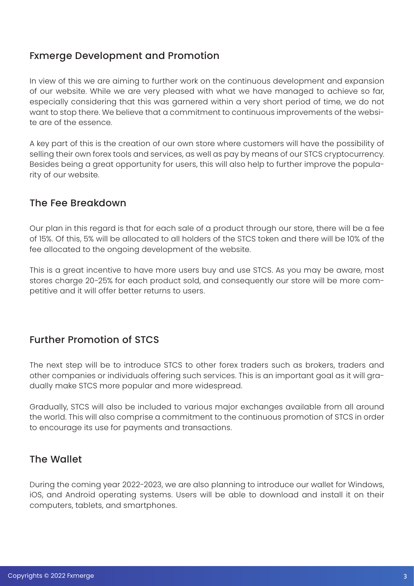#### Fxmerge Development and Promotion

In view of this we are aiming to further work on the continuous development and expansion of our website. While we are very pleased with what we have managed to achieve so far, especially considering that this was garnered within a very short period of time, we do not want to stop there. We believe that a commitment to continuous improvements of the website are of the essence.

A key part of this is the creation of our own store where customers will have the possibility of selling their own forex tools and services, as well as pay by means of our STCS cryptocurrency. Besides being a great opportunity for users, this will also help to further improve the popularity of our website.

#### The Fee Breakdown

Our plan in this regard is that for each sale of a product through our store, there will be a fee of 15%. Of this, 5% will be allocated to all holders of the STCS token and there will be 10% of the fee allocated to the ongoing development of the website.

This is a great incentive to have more users buy and use STCS. As you may be aware, most stores charge 20-25% for each product sold, and consequently our store will be more competitive and it will offer better returns to users.

#### Further Promotion of STCS

The next step will be to introduce STCS to other forex traders such as brokers, traders and other companies or individuals offering such services. This is an important goal as it will gradually make STCS more popular and more widespread.

Gradually, STCS will also be included to various major exchanges available from all around the world. This will also comprise a commitment to the continuous promotion of STCS in order to encourage its use for payments and transactions.

#### The Wallet

During the coming year 2022-2023, we are also planning to introduce our wallet for Windows, iOS, and Android operating systems. Users will be able to download and install it on their computers, tablets, and smartphones.